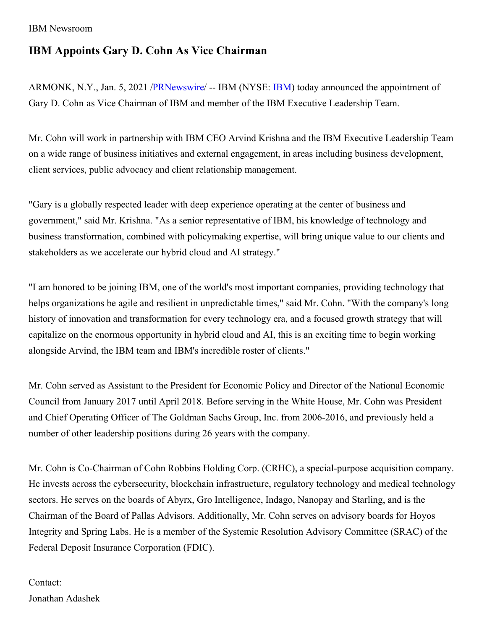## IBM Newsroom

## **IBM Appoints Gary D. Cohn As Vice Chairman**

ARMONK, N.Y., Jan. 5, 2021 [/PRNewswire](http://www.prnewswire.com/)/ -- [IBM](https://c212.net/c/link/?t=0&l=en&o=3026346-1&h=3251478258&u=http%3A%2F%2Fwww.ibm.com%2Finvestor&a=IBM) (NYSE: IBM) today announced the appointment of Gary D. Cohn as Vice Chairman of IBM and member of the IBM Executive Leadership Team.

Mr. Cohn will work in partnership with IBM CEO Arvind Krishna and the IBM Executive Leadership Team on a wide range of business initiatives and external engagement, in areas including business development, client services, public advocacy and client relationship management.

"Gary is a globally respected leader with deep experience operating at the center of business and government," said Mr. Krishna. "As a senior representative of IBM, his knowledge of technology and business transformation, combined with policymaking expertise, will bring unique value to our clients and stakeholders as we accelerate our hybrid cloud and AI strategy."

"I am honored to be joining IBM, one of the world's most important companies, providing technology that helps organizations be agile and resilient in unpredictable times," said Mr. Cohn. "With the company's long history of innovation and transformation for every technology era, and a focused growth strategy that will capitalize on the enormous opportunity in hybrid cloud and AI, this is an exciting time to begin working alongside Arvind, the IBM team and IBM's incredible roster of clients."

Mr. Cohn served as Assistant to the President for Economic Policy and Director of the National Economic Council from January 2017 until April 2018. Before serving in the White House, Mr. Cohn was President and Chief Operating Officer of The Goldman Sachs Group, Inc. from 2006-2016, and previously held a number of other leadership positions during 26 years with the company.

Mr. Cohn is Co-Chairman of Cohn Robbins Holding Corp. (CRHC), a special-purpose acquisition company. He invests across the cybersecurity, blockchain infrastructure, regulatory technology and medical technology sectors. He serves on the boards of Abyrx, Gro Intelligence, Indago, Nanopay and Starling, and is the Chairman of the Board of Pallas Advisors. Additionally, Mr. Cohn serves on advisory boards for Hoyos Integrity and Spring Labs. He is a member of the Systemic Resolution Advisory Committee (SRAC) of the Federal Deposit Insurance Corporation (FDIC).

## Contact: Jonathan Adashek